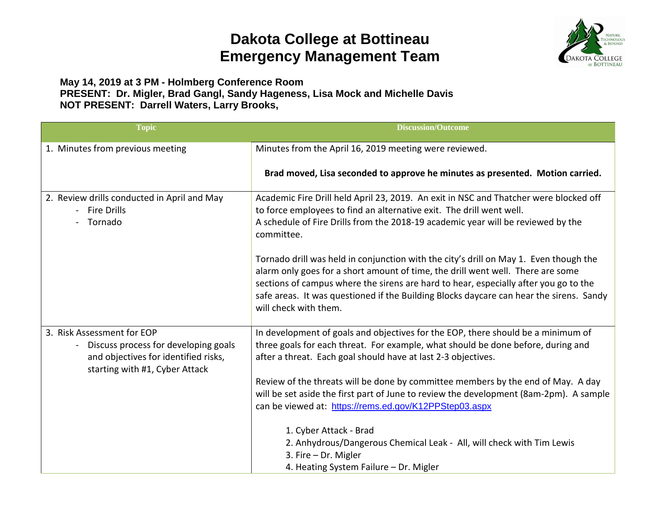## **Dakota College at Bottineau Emergency Management Team**



**May 14, 2019 at 3 PM - Holmberg Conference Room PRESENT: Dr. Migler, Brad Gangl, Sandy Hageness, Lisa Mock and Michelle Davis NOT PRESENT: Darrell Waters, Larry Brooks,** 

| <b>Topic</b>                                                                                                                                                   | <b>Discussion/Outcome</b>                                                                                                                                                                                                                                                                                                                                                            |
|----------------------------------------------------------------------------------------------------------------------------------------------------------------|--------------------------------------------------------------------------------------------------------------------------------------------------------------------------------------------------------------------------------------------------------------------------------------------------------------------------------------------------------------------------------------|
| 1. Minutes from previous meeting                                                                                                                               | Minutes from the April 16, 2019 meeting were reviewed.                                                                                                                                                                                                                                                                                                                               |
|                                                                                                                                                                | Brad moved, Lisa seconded to approve he minutes as presented. Motion carried.                                                                                                                                                                                                                                                                                                        |
| 2. Review drills conducted in April and May<br>- Fire Drills<br>Tornado                                                                                        | Academic Fire Drill held April 23, 2019. An exit in NSC and Thatcher were blocked off<br>to force employees to find an alternative exit. The drill went well.<br>A schedule of Fire Drills from the 2018-19 academic year will be reviewed by the<br>committee.                                                                                                                      |
|                                                                                                                                                                | Tornado drill was held in conjunction with the city's drill on May 1. Even though the<br>alarm only goes for a short amount of time, the drill went well. There are some<br>sections of campus where the sirens are hard to hear, especially after you go to the<br>safe areas. It was questioned if the Building Blocks daycare can hear the sirens. Sandy<br>will check with them. |
| 3. Risk Assessment for EOP<br>Discuss process for developing goals<br>$\blacksquare$<br>and objectives for identified risks,<br>starting with #1, Cyber Attack | In development of goals and objectives for the EOP, there should be a minimum of<br>three goals for each threat. For example, what should be done before, during and<br>after a threat. Each goal should have at last 2-3 objectives.                                                                                                                                                |
|                                                                                                                                                                | Review of the threats will be done by committee members by the end of May. A day<br>will be set aside the first part of June to review the development (8am-2pm). A sample<br>can be viewed at: https://rems.ed.gov/K12PPStep03.aspx                                                                                                                                                 |
|                                                                                                                                                                | 1. Cyber Attack - Brad<br>2. Anhydrous/Dangerous Chemical Leak - All, will check with Tim Lewis<br>3. Fire - Dr. Migler                                                                                                                                                                                                                                                              |
|                                                                                                                                                                | 4. Heating System Failure - Dr. Migler                                                                                                                                                                                                                                                                                                                                               |